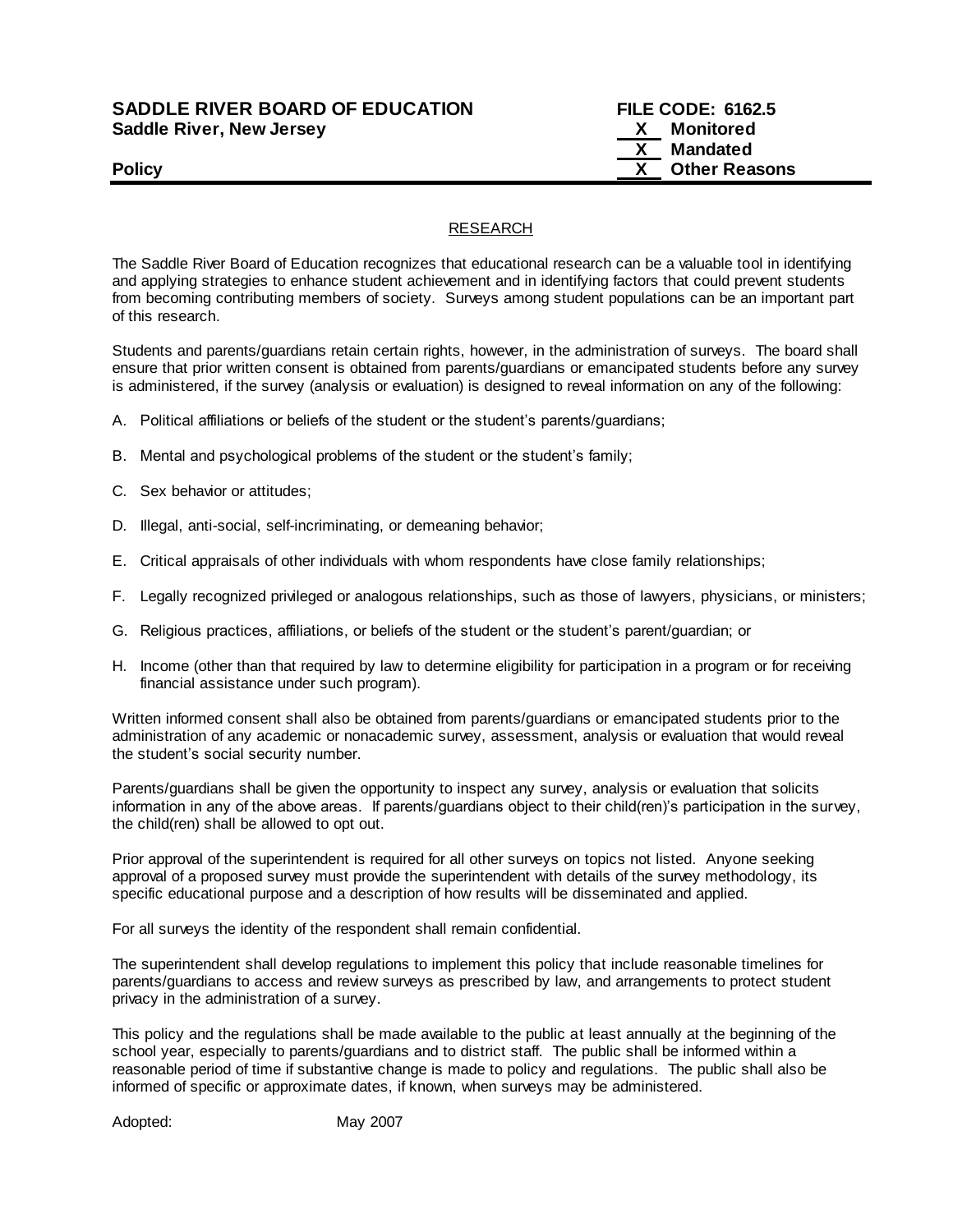## **SADDLE RIVER BOARD OF EDUCATION FILE CODE: 6162.5 Saddle River, New Jersey X Monitored**

 **X Mandated Policy X** Other Reasons

## RESEARCH

The Saddle River Board of Education recognizes that educational research can be a valuable tool in identifying and applying strategies to enhance student achievement and in identifying factors that could prevent students from becoming contributing members of society. Surveys among student populations can be an important part of this research.

Students and parents/guardians retain certain rights, however, in the administration of surveys. The board shall ensure that prior written consent is obtained from parents/guardians or emancipated students before any survey is administered, if the survey (analysis or evaluation) is designed to reveal information on any of the following:

- A. Political affiliations or beliefs of the student or the student's parents/guardians;
- B. Mental and psychological problems of the student or the student's family;
- C. Sex behavior or attitudes;
- D. Illegal, anti-social, self-incriminating, or demeaning behavior;
- E. Critical appraisals of other individuals with whom respondents have close family relationships;
- F. Legally recognized privileged or analogous relationships, such as those of lawyers, physicians, or ministers;
- G. Religious practices, affiliations, or beliefs of the student or the student's parent/guardian; or
- H. Income (other than that required by law to determine eligibility for participation in a program or for receiving financial assistance under such program).

Written informed consent shall also be obtained from parents/guardians or emancipated students prior to the administration of any academic or nonacademic survey, assessment, analysis or evaluation that would reveal the student's social security number.

Parents/guardians shall be given the opportunity to inspect any survey, analysis or evaluation that solicits information in any of the above areas. If parents/guardians object to their child(ren)'s participation in the survey, the child(ren) shall be allowed to opt out.

Prior approval of the superintendent is required for all other surveys on topics not listed. Anyone seeking approval of a proposed survey must provide the superintendent with details of the survey methodology, its specific educational purpose and a description of how results will be disseminated and applied.

For all surveys the identity of the respondent shall remain confidential.

The superintendent shall develop regulations to implement this policy that include reasonable timelines for parents/guardians to access and review surveys as prescribed by law, and arrangements to protect student privacy in the administration of a survey.

This policy and the regulations shall be made available to the public at least annually at the beginning of the school year, especially to parents/guardians and to district staff. The public shall be informed within a reasonable period of time if substantive change is made to policy and regulations. The public shall also be informed of specific or approximate dates, if known, when surveys may be administered.

Adopted: May 2007